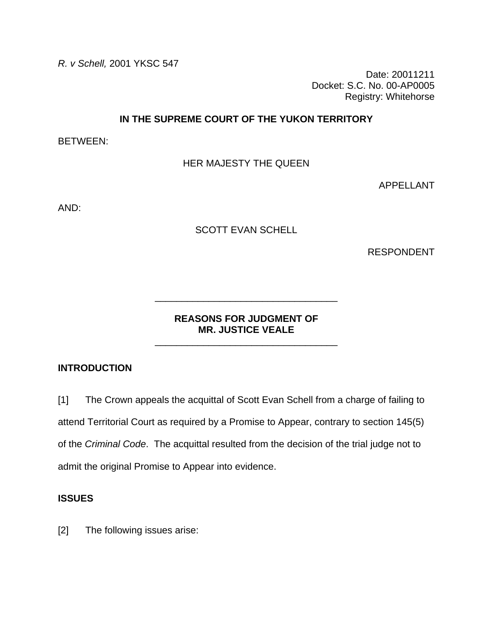*R. v Schell,* 2001 YKSC 547

Date: 20011211 Docket: S.C. No. 00-AP0005 Registry: Whitehorse

## **IN THE SUPREME COURT OF THE YUKON TERRITORY**

BETWEEN:

HER MAJESTY THE QUEEN

APPELLANT

AND:

# SCOTT EVAN SCHELL

RESPONDENT

# **REASONS FOR JUDGMENT OF MR. JUSTICE VEALE**

\_\_\_\_\_\_\_\_\_\_\_\_\_\_\_\_\_\_\_\_\_\_\_\_\_\_\_\_\_\_\_\_\_\_

\_\_\_\_\_\_\_\_\_\_\_\_\_\_\_\_\_\_\_\_\_\_\_\_\_\_\_\_\_\_\_\_\_\_

# **INTRODUCTION**

[1] The Crown appeals the acquittal of Scott Evan Schell from a charge of failing to attend Territorial Court as required by a Promise to Appear, contrary to section 145(5) of the *Criminal Code*. The acquittal resulted from the decision of the trial judge not to admit the original Promise to Appear into evidence.

## **ISSUES**

[2] The following issues arise: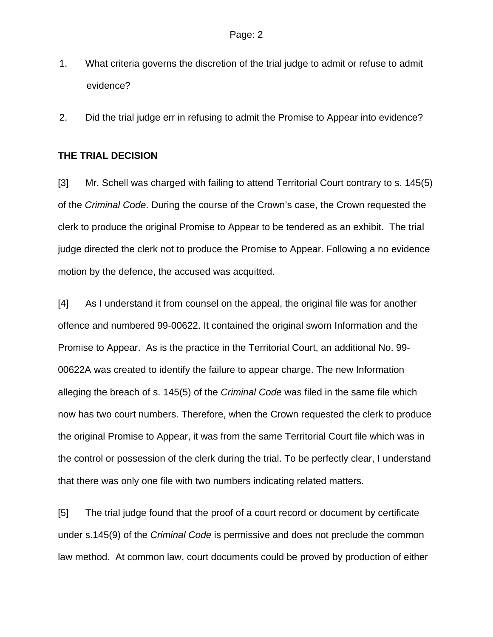- 1. What criteria governs the discretion of the trial judge to admit or refuse to admit evidence?
- 2. Did the trial judge err in refusing to admit the Promise to Appear into evidence?

### **THE TRIAL DECISION**

[3] Mr. Schell was charged with failing to attend Territorial Court contrary to s. 145(5) of the *Criminal Code*. During the course of the Crown's case, the Crown requested the clerk to produce the original Promise to Appear to be tendered as an exhibit. The trial judge directed the clerk not to produce the Promise to Appear. Following a no evidence motion by the defence, the accused was acquitted.

[4] As I understand it from counsel on the appeal, the original file was for another offence and numbered 99-00622. It contained the original sworn Information and the Promise to Appear. As is the practice in the Territorial Court, an additional No. 99- 00622A was created to identify the failure to appear charge. The new Information alleging the breach of s. 145(5) of the *Criminal Code* was filed in the same file which now has two court numbers. Therefore, when the Crown requested the clerk to produce the original Promise to Appear, it was from the same Territorial Court file which was in the control or possession of the clerk during the trial. To be perfectly clear, I understand that there was only one file with two numbers indicating related matters.

[5] The trial judge found that the proof of a court record or document by certificate under s.145(9) of the *Criminal Code* is permissive and does not preclude the common law method. At common law, court documents could be proved by production of either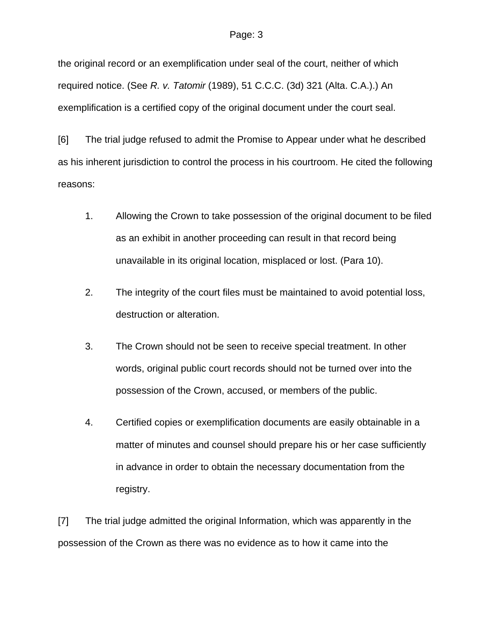### Page: 3

the original record or an exemplification under seal of the court, neither of which required notice. (See *R. v. Tatomir* (1989), 51 C.C.C. (3d) 321 (Alta. C.A.).) An exemplification is a certified copy of the original document under the court seal.

[6] The trial judge refused to admit the Promise to Appear under what he described as his inherent jurisdiction to control the process in his courtroom. He cited the following reasons:

- 1. Allowing the Crown to take possession of the original document to be filed as an exhibit in another proceeding can result in that record being unavailable in its original location, misplaced or lost. (Para 10).
- 2. The integrity of the court files must be maintained to avoid potential loss, destruction or alteration.
- 3. The Crown should not be seen to receive special treatment. In other words, original public court records should not be turned over into the possession of the Crown, accused, or members of the public.
- 4. Certified copies or exemplification documents are easily obtainable in a matter of minutes and counsel should prepare his or her case sufficiently in advance in order to obtain the necessary documentation from the registry.

[7] The trial judge admitted the original Information, which was apparently in the possession of the Crown as there was no evidence as to how it came into the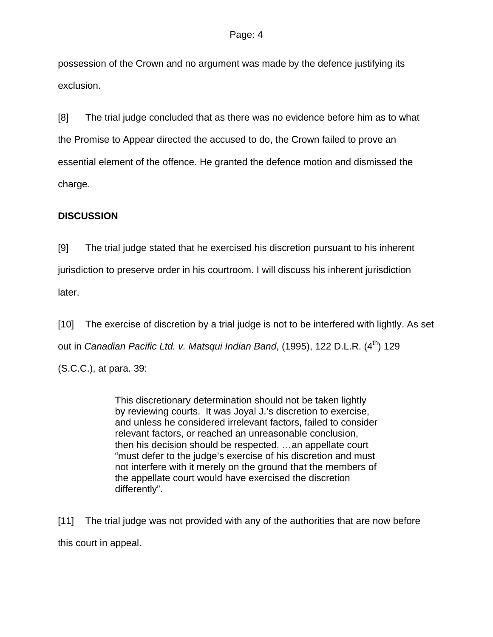possession of the Crown and no argument was made by the defence justifying its exclusion.

[8] The trial judge concluded that as there was no evidence before him as to what the Promise to Appear directed the accused to do, the Crown failed to prove an essential element of the offence. He granted the defence motion and dismissed the charge.

# **DISCUSSION**

[9] The trial judge stated that he exercised his discretion pursuant to his inherent jurisdiction to preserve order in his courtroom. I will discuss his inherent jurisdiction later.

[10] The exercise of discretion by a trial judge is not to be interfered with lightly. As set out in *Canadian Pacific Ltd. v. Matsqui Indian Band*, (1995), 122 D.L.R. (4<sup>th</sup>) 129 (S.C.C.), at para. 39:

> This discretionary determination should not be taken lightly by reviewing courts. It was Joyal J.'s discretion to exercise, and unless he considered irrelevant factors, failed to consider relevant factors, or reached an unreasonable conclusion, then his decision should be respected. …an appellate court "must defer to the judge's exercise of his discretion and must not interfere with it merely on the ground that the members of the appellate court would have exercised the discretion differently".

[11] The trial judge was not provided with any of the authorities that are now before this court in appeal.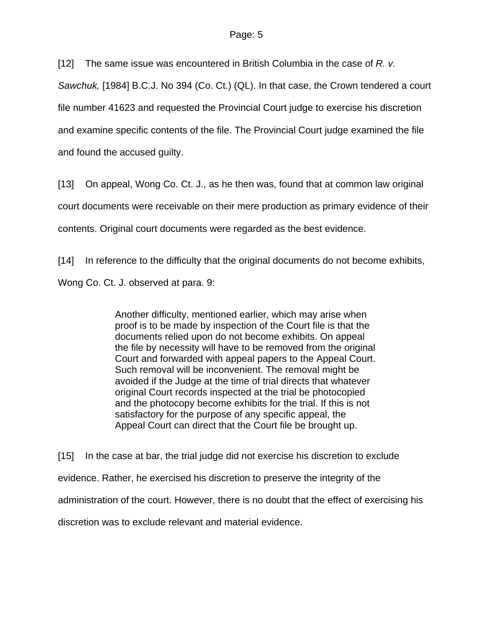[12] The same issue was encountered in British Columbia in the case of *R. v.* 

*Sawchuk,* [1984] B.C.J. No 394 (Co. Ct.) (QL). In that case, the Crown tendered a court file number 41623 and requested the Provincial Court judge to exercise his discretion and examine specific contents of the file. The Provincial Court judge examined the file and found the accused guilty.

[13] On appeal, Wong Co. Ct. J., as he then was, found that at common law original court documents were receivable on their mere production as primary evidence of their contents. Original court documents were regarded as the best evidence.

[14] In reference to the difficulty that the original documents do not become exhibits, Wong Co. Ct. J. observed at para. 9:

> Another difficulty, mentioned earlier, which may arise when proof is to be made by inspection of the Court file is that the documents relied upon do not become exhibits. On appeal the file by necessity will have to be removed from the original Court and forwarded with appeal papers to the Appeal Court. Such removal will be inconvenient. The removal might be avoided if the Judge at the time of trial directs that whatever original Court records inspected at the trial be photocopied and the photocopy become exhibits for the trial. If this is not satisfactory for the purpose of any specific appeal, the Appeal Court can direct that the Court file be brought up.

[15] In the case at bar, the trial judge did not exercise his discretion to exclude evidence. Rather, he exercised his discretion to preserve the integrity of the administration of the court. However, there is no doubt that the effect of exercising his discretion was to exclude relevant and material evidence.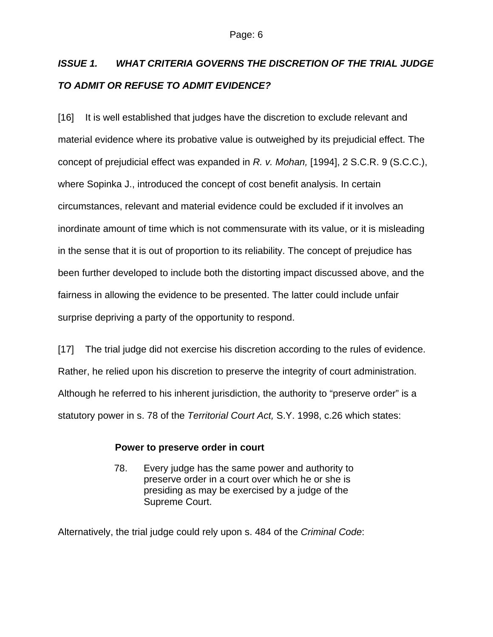# *ISSUE 1. WHAT CRITERIA GOVERNS THE DISCRETION OF THE TRIAL JUDGE TO ADMIT OR REFUSE TO ADMIT EVIDENCE?*

[16] It is well established that judges have the discretion to exclude relevant and material evidence where its probative value is outweighed by its prejudicial effect. The concept of prejudicial effect was expanded in *R. v. Mohan,* [1994], 2 S.C.R. 9 (S.C.C.), where Sopinka J., introduced the concept of cost benefit analysis. In certain circumstances, relevant and material evidence could be excluded if it involves an inordinate amount of time which is not commensurate with its value, or it is misleading in the sense that it is out of proportion to its reliability. The concept of prejudice has been further developed to include both the distorting impact discussed above, and the fairness in allowing the evidence to be presented. The latter could include unfair surprise depriving a party of the opportunity to respond.

[17] The trial judge did not exercise his discretion according to the rules of evidence. Rather, he relied upon his discretion to preserve the integrity of court administration. Although he referred to his inherent jurisdiction, the authority to "preserve order" is a statutory power in s. 78 of the *Territorial Court Act,* S.Y. 1998, c.26 which states:

# **Power to preserve order in court**

78. Every judge has the same power and authority to preserve order in a court over which he or she is presiding as may be exercised by a judge of the Supreme Court.

Alternatively, the trial judge could rely upon s. 484 of the *Criminal Code*: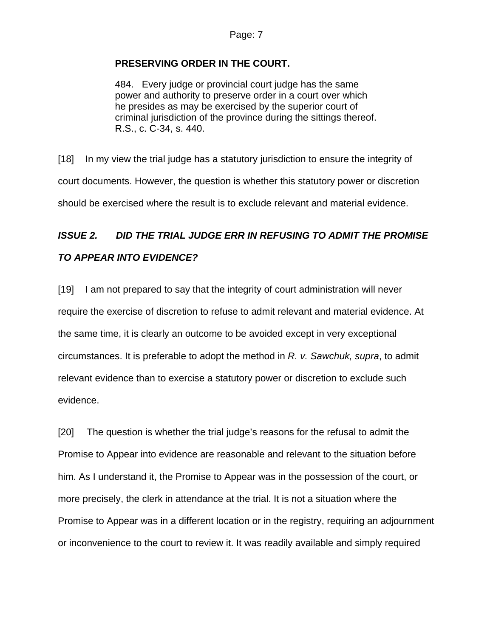## **PRESERVING ORDER IN THE COURT.**

484. Every judge or provincial court judge has the same power and authority to preserve order in a court over which he presides as may be exercised by the superior court of criminal jurisdiction of the province during the sittings thereof. R.S., c. C-34, s. 440.

[18] In my view the trial judge has a statutory jurisdiction to ensure the integrity of court documents. However, the question is whether this statutory power or discretion should be exercised where the result is to exclude relevant and material evidence.

# *ISSUE 2. DID THE TRIAL JUDGE ERR IN REFUSING TO ADMIT THE PROMISE TO APPEAR INTO EVIDENCE?*

[19] I am not prepared to say that the integrity of court administration will never require the exercise of discretion to refuse to admit relevant and material evidence. At the same time, it is clearly an outcome to be avoided except in very exceptional circumstances. It is preferable to adopt the method in *R. v. Sawchuk, supra*, to admit relevant evidence than to exercise a statutory power or discretion to exclude such evidence.

[20] The question is whether the trial judge's reasons for the refusal to admit the Promise to Appear into evidence are reasonable and relevant to the situation before him. As I understand it, the Promise to Appear was in the possession of the court, or more precisely, the clerk in attendance at the trial. It is not a situation where the Promise to Appear was in a different location or in the registry, requiring an adjournment or inconvenience to the court to review it. It was readily available and simply required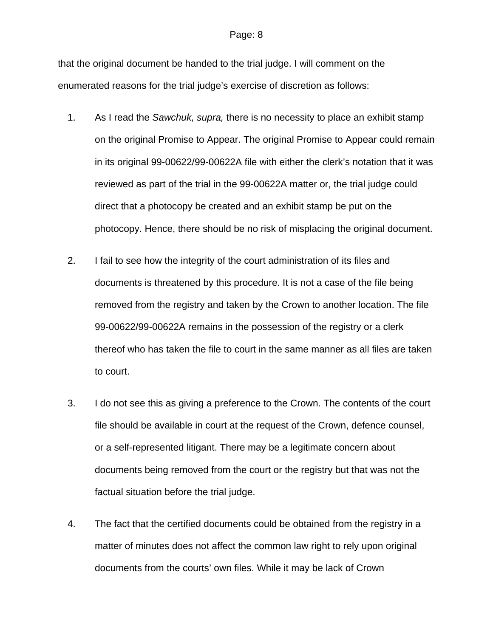### Page: 8

that the original document be handed to the trial judge. I will comment on the enumerated reasons for the trial judge's exercise of discretion as follows:

- 1. As I read the *Sawchuk, supra,* there is no necessity to place an exhibit stamp on the original Promise to Appear. The original Promise to Appear could remain in its original 99-00622/99-00622A file with either the clerk's notation that it was reviewed as part of the trial in the 99-00622A matter or, the trial judge could direct that a photocopy be created and an exhibit stamp be put on the photocopy. Hence, there should be no risk of misplacing the original document.
- 2. I fail to see how the integrity of the court administration of its files and documents is threatened by this procedure. It is not a case of the file being removed from the registry and taken by the Crown to another location. The file 99-00622/99-00622A remains in the possession of the registry or a clerk thereof who has taken the file to court in the same manner as all files are taken to court.
- 3. I do not see this as giving a preference to the Crown. The contents of the court file should be available in court at the request of the Crown, defence counsel, or a self-represented litigant. There may be a legitimate concern about documents being removed from the court or the registry but that was not the factual situation before the trial judge.
- 4. The fact that the certified documents could be obtained from the registry in a matter of minutes does not affect the common law right to rely upon original documents from the courts' own files. While it may be lack of Crown